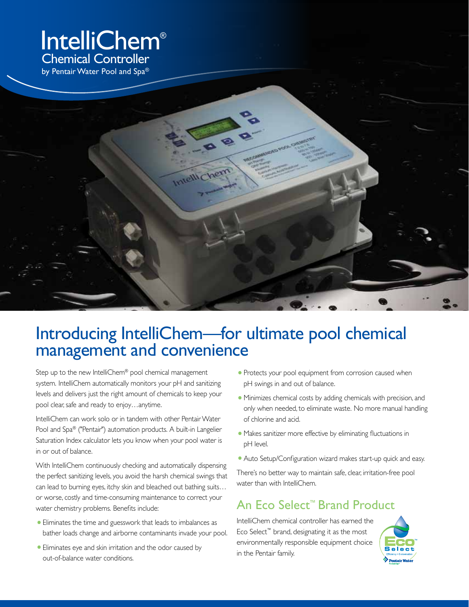# IntelliChem® Chemical Controller



### Introducing IntelliChem—for ultimate pool chemical management and convenience

Step up to the new IntelliChem® pool chemical management system. IntelliChem automatically monitors your pH and sanitizing levels and delivers just the right amount of chemicals to keep your pool clear, safe and ready to enjoy…anytime.

IntelliChem can work solo or in tandem with other Pentair Water Pool and Spa® ("Pentair") automation products. A built-in Langelier Saturation Index calculator lets you know when your pool water is in or out of balance.

With IntelliChem continuously checking and automatically dispensing the perfect sanitizing levels, you avoid the harsh chemical swings that can lead to burning eyes, itchy skin and bleached out bathing suits… or worse, costly and time-consuming maintenance to correct your water chemistry problems. Benefits include:

- **•**Eliminates the time and guesswork that leads to imbalances as bather loads change and airborne contaminants invade your pool.
- **•**Eliminates eye and skin irritation and the odor caused by out-of-balance water conditions.
- **•** Protects your pool equipment from corrosion caused when pH swings in and out of balance.
- **•** Minimizes chemical costs by adding chemicals with precision, and only when needed, to eliminate waste. No more manual handling of chlorine and acid.
- **•** Makes sanitizer more effective by eliminating fluctuations in pH level.
- **•**Auto Setup/Configuration wizard makes start-up quick and easy.

There's no better way to maintain safe, clear, irritation-free pool water than with IntelliChem.

### An Eco Select ™ Brand Product

IntelliChem chemical controller has earned the Eco Select™ brand, designating it as the most environmentally responsible equipment choice in the Pentair family.